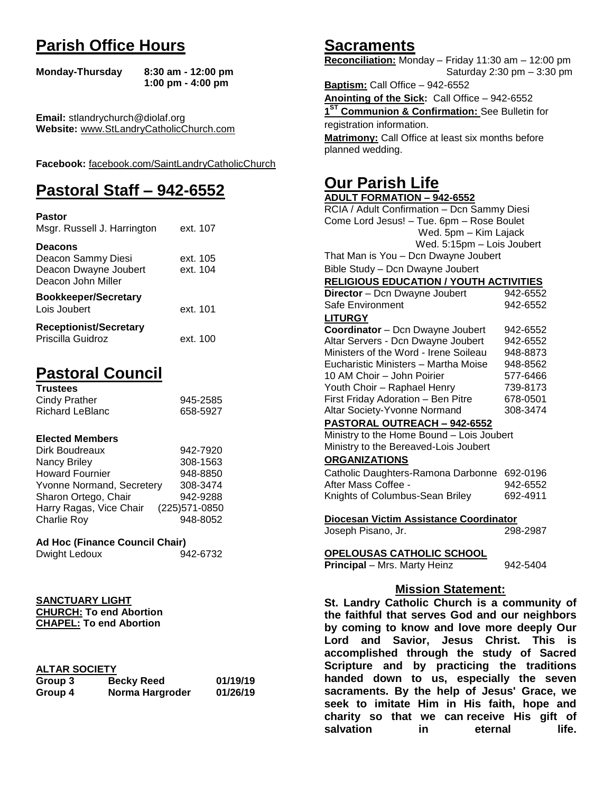# **Parish Office Hours**

```
Monday-Thursday 8:30 am - 12:00 pm
       1:00 pm - 4:00 pm
```
**Email:** stlandrychurch@diolaf.org **Website:** [www.StLandryCatholicChurch.com](http://www.stlandrycatholicchurch.com/)

**Facebook:** [facebook.com/SaintLandryCatholicChurch](http://facebook.com/SaintLandryCatholicChurch)

# **Pastoral Staff – 942-6552**

| <b>Pastor</b><br>Msgr. Russell J. Harrington                                        | ext. 107             |
|-------------------------------------------------------------------------------------|----------------------|
| <b>Deacons</b><br>Deacon Sammy Diesi<br>Deacon Dwayne Joubert<br>Deacon John Miller | ext. 105<br>ext. 104 |
| <b>Bookkeeper/Secretary</b><br>Lois Joubert                                         | ext. 101             |
| <b>Receptionist/Secretary</b><br>Priscilla Guidroz                                  | ext. 100             |

# **Pastoral Council**

| <b>Trustees</b> |          |
|-----------------|----------|
| Cindy Prather   | 945-2585 |
| Richard LeBlanc | 658-5927 |

#### **Elected Members**

| Dirk Boudreaux            | 942-7920       |
|---------------------------|----------------|
| Nancy Briley              | 308-1563       |
| <b>Howard Fournier</b>    | 948-8850       |
| Yvonne Normand, Secretery | 308-3474       |
| Sharon Ortego, Chair      | 942-9288       |
| Harry Ragas, Vice Chair   | (225) 571-0850 |
| <b>Charlie Roy</b>        | 948-8052       |

# **Ad Hoc (Finance Council Chair)**

| Dwight Ledoux | 942-6732 |
|---------------|----------|
|               |          |

#### **SANCTUARY LIGHT CHURCH: To end Abortion CHAPEL: To end Abortion**

# **ALTAR SOCIETY**

| .       |                   |          |
|---------|-------------------|----------|
| Group 3 | <b>Becky Reed</b> | 01/19/19 |
| Group 4 | Norma Hargroder   | 01/26/19 |

# **Sacraments**

**Reconciliation:** Monday – Friday 11:30 am – 12:00 pm Saturday 2:30 pm – 3:30 pm

**Baptism:** Call Office – 942-6552 **Anointing of the Sick:** Call Office – 942-6552 **1 ST Communion & Confirmation:** See Bulletin for registration information. **Matrimony:** Call Office at least six months before planned wedding.

# **Our Parish Life**

| <b>ADULT FORMATION - 942-6552</b>              |          |  |
|------------------------------------------------|----------|--|
| RCIA / Adult Confirmation - Dcn Sammy Diesi    |          |  |
| Come Lord Jesus! - Tue. 6pm - Rose Boulet      |          |  |
| Wed. 5pm - Kim Lajack                          |          |  |
| Wed. 5:15pm - Lois Joubert                     |          |  |
| That Man is You - Dcn Dwayne Joubert           |          |  |
| Bible Study - Dcn Dwayne Joubert               |          |  |
| <b>RELIGIOUS EDUCATION / YOUTH ACTIVITIES</b>  |          |  |
| Director - Dcn Dwayne Joubert                  | 942-6552 |  |
| Safe Environment                               | 942-6552 |  |
| <b>LITURGY</b>                                 |          |  |
| Coordinator - Dcn Dwayne Joubert               | 942-6552 |  |
| Altar Servers - Dcn Dwayne Joubert             | 942-6552 |  |
| Ministers of the Word - Irene Soileau          | 948-8873 |  |
| Eucharistic Ministers - Martha Moise           | 948-8562 |  |
| 10 AM Choir - John Poirier                     | 577-6466 |  |
| Youth Choir - Raphael Henry                    | 739-8173 |  |
| First Friday Adoration - Ben Pitre             | 678-0501 |  |
| Altar Society-Yvonne Normand                   | 308-3474 |  |
| PASTORAL OUTREACH - 942-6552                   |          |  |
| Ministry to the Home Bound - Lois Joubert      |          |  |
| Ministry to the Bereaved-Lois Joubert          |          |  |
| <b>ORGANIZATIONS</b>                           |          |  |
| Catholic Daughters-Ramona Darbonne             | 692-0196 |  |
| After Mass Coffee -                            | 942-6552 |  |
| Knights of Columbus-Sean Briley                | 692-4911 |  |
|                                                |          |  |
| Diocesan Victim Assistance Coordinator         |          |  |
| Joseph Pisano, Jr.                             | 298-2987 |  |
| OPELOUSAS CATHOLIC SCHOOL                      |          |  |
| Principal - Mrs. Marty Heinz                   | 942-5404 |  |
|                                                |          |  |
| <b>Mission Statement:</b>                      |          |  |
| St. Landry Catholic Church is a community of   |          |  |
| the faithful that serves God and our neighbors |          |  |
| by coming to know and love more deeply Our     |          |  |
| and Savior, Jesus Christ. This is<br>Lord      |          |  |
| accomplished through the study of Sacred       |          |  |
|                                                |          |  |

**accomplished through the study of Sacred Scripture and by practicing the traditions handed down to us, especially the seven sacraments. By the help of Jesus' Grace, we seek to imitate Him in His faith, hope and charity so that we can receive His gift of salvation in** eternal life.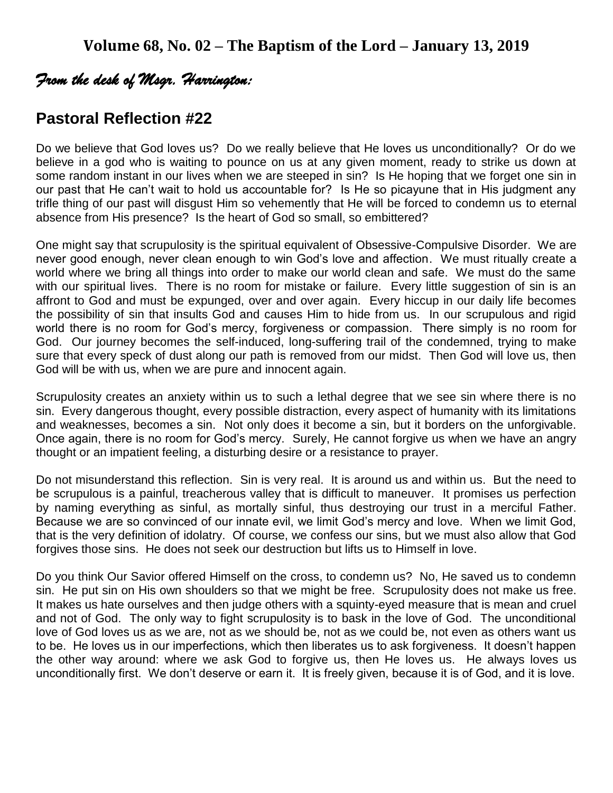# *From the desk of Msgr. Harrington:*

# **Pastoral Reflection #22**

Do we believe that God loves us? Do we really believe that He loves us unconditionally? Or do we believe in a god who is waiting to pounce on us at any given moment, ready to strike us down at some random instant in our lives when we are steeped in sin? Is He hoping that we forget one sin in our past that He can't wait to hold us accountable for? Is He so picayune that in His judgment any trifle thing of our past will disgust Him so vehemently that He will be forced to condemn us to eternal absence from His presence? Is the heart of God so small, so embittered?

One might say that scrupulosity is the spiritual equivalent of Obsessive-Compulsive Disorder. We are never good enough, never clean enough to win God's love and affection. We must ritually create a world where we bring all things into order to make our world clean and safe. We must do the same with our spiritual lives. There is no room for mistake or failure. Every little suggestion of sin is an affront to God and must be expunged, over and over again. Every hiccup in our daily life becomes the possibility of sin that insults God and causes Him to hide from us. In our scrupulous and rigid world there is no room for God's mercy, forgiveness or compassion. There simply is no room for God. Our journey becomes the self-induced, long-suffering trail of the condemned, trying to make sure that every speck of dust along our path is removed from our midst. Then God will love us, then God will be with us, when we are pure and innocent again.

Scrupulosity creates an anxiety within us to such a lethal degree that we see sin where there is no sin. Every dangerous thought, every possible distraction, every aspect of humanity with its limitations and weaknesses, becomes a sin. Not only does it become a sin, but it borders on the unforgivable. Once again, there is no room for God's mercy. Surely, He cannot forgive us when we have an angry thought or an impatient feeling, a disturbing desire or a resistance to prayer.

Do not misunderstand this reflection. Sin is very real. It is around us and within us. But the need to be scrupulous is a painful, treacherous valley that is difficult to maneuver. It promises us perfection by naming everything as sinful, as mortally sinful, thus destroying our trust in a merciful Father. Because we are so convinced of our innate evil, we limit God's mercy and love. When we limit God, that is the very definition of idolatry. Of course, we confess our sins, but we must also allow that God forgives those sins. He does not seek our destruction but lifts us to Himself in love.

Do you think Our Savior offered Himself on the cross, to condemn us? No, He saved us to condemn sin. He put sin on His own shoulders so that we might be free. Scrupulosity does not make us free. It makes us hate ourselves and then judge others with a squinty-eyed measure that is mean and cruel and not of God. The only way to fight scrupulosity is to bask in the love of God. The unconditional love of God loves us as we are, not as we should be, not as we could be, not even as others want us to be. He loves us in our imperfections, which then liberates us to ask forgiveness. It doesn't happen the other way around: where we ask God to forgive us, then He loves us. He always loves us unconditionally first. We don't deserve or earn it. It is freely given, because it is of God, and it is love.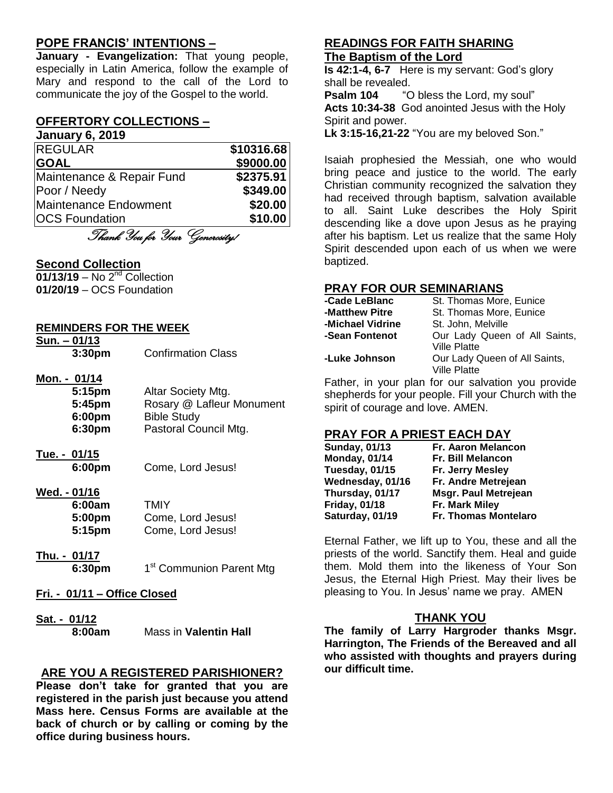# **POPE FRANCIS' INTENTIONS –**

**January - Evangelization:** That young people, especially in Latin America, follow the example of Mary and respond to the call of the Lord to communicate the joy of the Gospel to the world.

# **OFFERTORY COLLECTIONS –**

**January 6, 2019**

| <b>REGULAR</b>            | \$10316.68 |
|---------------------------|------------|
| <b>GOAL</b>               | \$9000.00  |
| Maintenance & Repair Fund | \$2375.91  |
| Poor / Needy              | \$349.00   |
| Maintenance Endowment     | \$20.00    |
| <b>OCS Foundation</b>     | \$10.00    |

Thank You for Your Generosity!

# **Second Collection**

**01/13/19** – No 2<sup>nd</sup> Collection **01/20/19** – OCS Foundation

#### **REMINDERS FOR THE WEEK**

| $Sun. - 01/13$     |  |
|--------------------|--|
| 3:30 <sub>pm</sub> |  |

### **Mon. - 01/14**

| 5:15pm | Altar Society Mtg.        |
|--------|---------------------------|
| 5:45pm | Rosary @ Lafleur Monument |
| 6:00pm | <b>Bible Study</b>        |
| 6:30pm | Pastoral Council Mtg.     |
|        |                           |

- **Tue. - 01/15**
	- **6:00pm** Come, Lord Jesus!
- **Wed. - 01/16** 6:00a

| 6:00am | TMIY              |
|--------|-------------------|
| 5:00pm | Come, Lord Jesus! |
| 5:15pm | Come, Lord Jesus! |

**Thu. - 01/17 6:30pm** 1

1<sup>st</sup> Communion Parent Mtg

- **Fri. - 01/11 – Office Closed**
- **Sat. - 01/12**

**8:00am** Mass in **Valentin Hall**

# **ARE YOU A REGISTERED PARISHIONER?**

**Please don't take for granted that you are registered in the parish just because you attend Mass here. Census Forms are available at the back of church or by calling or coming by the office during business hours.**

#### **READINGS FOR FAITH SHARING The Baptism of the Lord**

**Is 42:1-4, 6-7** Here is my servant: God's glory shall be revealed.

**Psalm 104** "O bless the Lord, my soul" **Acts 10:34-38** God anointed Jesus with the Holy Spirit and power.

**Lk 3:15-16,21-22** "You are my beloved Son."

Isaiah prophesied the Messiah, one who would bring peace and justice to the world. The early Christian community recognized the salvation they had received through baptism, salvation available to all. Saint Luke describes the Holy Spirit descending like a dove upon Jesus as he praying after his baptism. Let us realize that the same Holy Spirit descended upon each of us when we were baptized.

# **PRAY FOR OUR SEMINARIANS**

| -Cade LeBlanc    | St. Thomas More, Eunice       |
|------------------|-------------------------------|
| -Matthew Pitre   | St. Thomas More, Eunice       |
| -Michael Vidrine | St. John, Melville            |
| -Sean Fontenot   | Our Lady Queen of All Saints, |
|                  | <b>Ville Platte</b>           |
| -Luke Johnson    | Our Lady Queen of All Saints, |
|                  | <b>Ville Platte</b>           |

Father, in your plan for our salvation you provide shepherds for your people. Fill your Church with the spirit of courage and love. AMEN.

# **PRAY FOR A PRIEST EACH DAY**

| <b>Sunday, 01/13</b> | <b>Fr. Aaron Melancon</b>   |
|----------------------|-----------------------------|
| <b>Monday, 01/14</b> | <b>Fr. Bill Melancon</b>    |
| Tuesday, 01/15       | Fr. Jerry Mesley            |
| Wednesday, 01/16     | Fr. Andre Metrejean         |
| Thursday, 01/17      | <b>Msgr. Paul Metrejean</b> |
| <b>Friday, 01/18</b> | Fr. Mark Miley              |
| Saturday, 01/19      | <b>Fr. Thomas Montelaro</b> |

Eternal Father, we lift up to You, these and all the priests of the world. Sanctify them. Heal and guide them. Mold them into the likeness of Your Son Jesus, the Eternal High Priest. May their lives be pleasing to You. In Jesus' name we pray. AMEN

# **THANK YOU**

**The family of Larry Hargroder thanks Msgr. Harrington, The Friends of the Bereaved and all who assisted with thoughts and prayers during our difficult time.**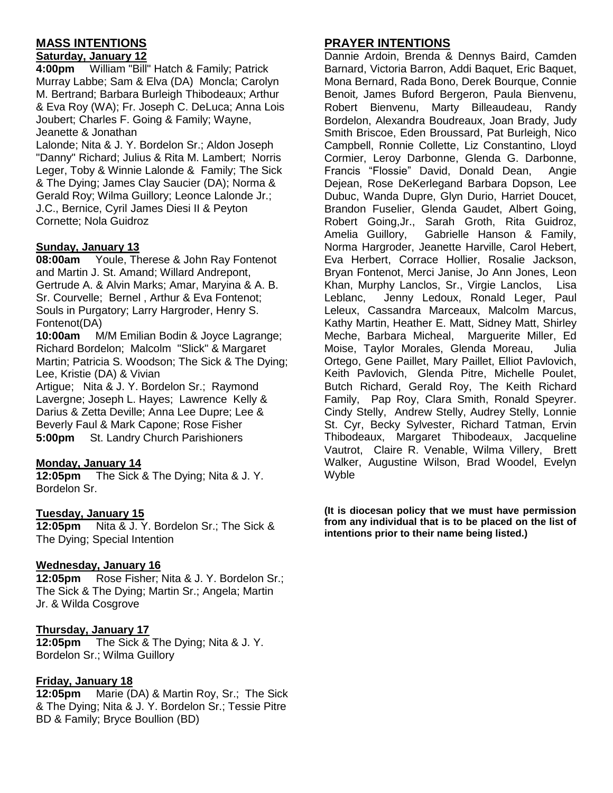# **MASS INTENTIONS**

#### **Saturday, January 12**

**4:00pm** William "Bill" Hatch & Family; Patrick Murray Labbe; Sam & Elva (DA) Moncla; Carolyn M. Bertrand; Barbara Burleigh Thibodeaux; Arthur & Eva Roy (WA); Fr. Joseph C. DeLuca; Anna Lois Joubert; Charles F. Going & Family; Wayne, Jeanette & Jonathan

Lalonde; Nita & J. Y. Bordelon Sr.; Aldon Joseph "Danny" Richard; Julius & Rita M. Lambert; Norris Leger, Toby & Winnie Lalonde & Family; The Sick & The Dying; James Clay Saucier (DA); Norma & Gerald Roy; Wilma Guillory; Leonce Lalonde Jr.; J.C., Bernice, Cyril James Diesi II & Peyton Cornette; Nola Guidroz

#### **Sunday, January 13**

**08:00am** Youle, Therese & John Ray Fontenot and Martin J. St. Amand; Willard Andrepont, Gertrude A. & Alvin Marks; Amar, Maryina & A. B. Sr. Courvelle; Bernel , Arthur & Eva Fontenot; Souls in Purgatory; Larry Hargroder, Henry S. Fontenot(DA)

**10:00am** M/M Emilian Bodin & Joyce Lagrange; Richard Bordelon; Malcolm "Slick" & Margaret Martin; Patricia S. Woodson; The Sick & The Dying; Lee, Kristie (DA) & Vivian

Artigue; Nita & J. Y. Bordelon Sr.; Raymond Lavergne; Joseph L. Hayes; Lawrence Kelly & Darius & Zetta Deville; Anna Lee Dupre; Lee & Beverly Faul & Mark Capone; Rose Fisher **5:00pm** St. Landry Church Parishioners

# **Monday, January 14**

**12:05pm** The Sick & The Dying; Nita & J. Y. Bordelon Sr.

# **Tuesday, January 15**

**12:05pm** Nita & J. Y. Bordelon Sr.; The Sick & The Dying; Special Intention

# **Wednesday, January 16**

**12:05pm** Rose Fisher; Nita & J. Y. Bordelon Sr.; The Sick & The Dying; Martin Sr.; Angela; Martin Jr. & Wilda Cosgrove

# **Thursday, January 17**

**12:05pm** The Sick & The Dying; Nita & J. Y. Bordelon Sr.; Wilma Guillory

#### **Friday, January 18**

**12:05pm** Marie (DA) & Martin Roy, Sr.; The Sick & The Dying; Nita & J. Y. Bordelon Sr.; Tessie Pitre BD & Family; Bryce Boullion (BD)

# **PRAYER INTENTIONS**

Dannie Ardoin, Brenda & Dennys Baird, Camden Barnard, Victoria Barron, Addi Baquet, Eric Baquet, Mona Bernard, Rada Bono, Derek Bourque, Connie Benoit, James Buford Bergeron, Paula Bienvenu, Robert Bienvenu, Marty Billeaudeau, Randy Bordelon, Alexandra Boudreaux, Joan Brady, Judy Smith Briscoe, Eden Broussard, Pat Burleigh, Nico Campbell, Ronnie Collette, Liz Constantino, Lloyd Cormier, Leroy Darbonne, Glenda G. Darbonne, Francis "Flossie" David, Donald Dean, Angie Dejean, Rose DeKerlegand Barbara Dopson, Lee Dubuc, Wanda Dupre, Glyn Durio, Harriet Doucet, Brandon Fuselier, Glenda Gaudet, Albert Going, Robert Going,Jr., Sarah Groth, Rita Guidroz, Amelia Guillory, Gabrielle Hanson & Family, Norma Hargroder, Jeanette Harville, Carol Hebert, Eva Herbert, Corrace Hollier, Rosalie Jackson, Bryan Fontenot, Merci Janise, Jo Ann Jones, Leon Khan, Murphy Lanclos, Sr., Virgie Lanclos, Lisa Leblanc, Jenny Ledoux, Ronald Leger, Paul Leleux, Cassandra Marceaux, Malcolm Marcus, Kathy Martin, Heather E. Matt, Sidney Matt, Shirley Meche, Barbara Micheal, Marguerite Miller, Ed Moise, Taylor Morales, Glenda Moreau, Julia Ortego, Gene Paillet, Mary Paillet, Elliot Pavlovich, Keith Pavlovich, Glenda Pitre, Michelle Poulet, Butch Richard, Gerald Roy, The Keith Richard Family, Pap Roy, Clara Smith, Ronald Speyrer. Cindy Stelly, Andrew Stelly, Audrey Stelly, Lonnie St. Cyr, Becky Sylvester, Richard Tatman, Ervin Thibodeaux, Margaret Thibodeaux, Jacqueline Vautrot, Claire R. Venable, Wilma Villery, Brett Walker, Augustine Wilson, Brad Woodel, Evelyn Wyble

**(It is diocesan policy that we must have permission from any individual that is to be placed on the list of intentions prior to their name being listed.)**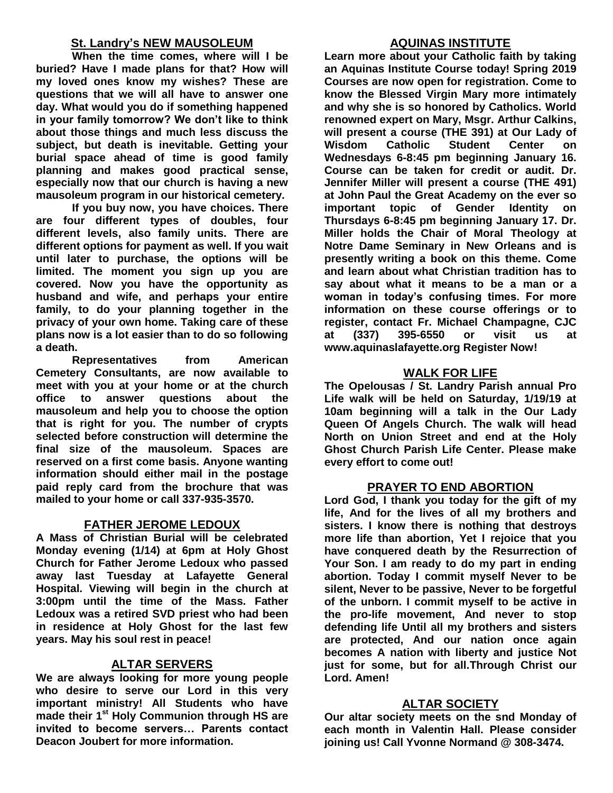# **St. Landry's NEW MAUSOLEUM**

**When the time comes, where will I be buried? Have I made plans for that? How will my loved ones know my wishes? These are questions that we will all have to answer one day. What would you do if something happened in your family tomorrow? We don't like to think about those things and much less discuss the subject, but death is inevitable. Getting your burial space ahead of time is good family planning and makes good practical sense, especially now that our church is having a new mausoleum program in our historical cemetery.**

**If you buy now, you have choices. There are four different types of doubles, four different levels, also family units. There are different options for payment as well. If you wait until later to purchase, the options will be limited. The moment you sign up you are covered. Now you have the opportunity as husband and wife, and perhaps your entire family, to do your planning together in the privacy of your own home. Taking care of these plans now is a lot easier than to do so following a death.**

**Representatives from American Cemetery Consultants, are now available to meet with you at your home or at the church office to answer questions about the mausoleum and help you to choose the option that is right for you. The number of crypts selected before construction will determine the final size of the mausoleum. Spaces are reserved on a first come basis. Anyone wanting information should either mail in the postage paid reply card from the brochure that was mailed to your home or call 337-935-3570.**

# **FATHER JEROME LEDOUX**

**A Mass of Christian Burial will be celebrated Monday evening (1/14) at 6pm at Holy Ghost Church for Father Jerome Ledoux who passed away last Tuesday at Lafayette General Hospital. Viewing will begin in the church at 3:00pm until the time of the Mass. Father Ledoux was a retired SVD priest who had been in residence at Holy Ghost for the last few years. May his soul rest in peace!**

# **ALTAR SERVERS**

**We are always looking for more young people who desire to serve our Lord in this very important ministry! All Students who have made their 1st Holy Communion through HS are invited to become servers… Parents contact Deacon Joubert for more information.**

# **AQUINAS INSTITUTE**

**Learn more about your Catholic faith by taking an Aquinas Institute Course today! Spring 2019 Courses are now open for registration. Come to know the Blessed Virgin Mary more intimately and why she is so honored by Catholics. World renowned expert on Mary, Msgr. Arthur Calkins, will present a course (THE 391) at Our Lady of Wisdom Catholic Student Center on Wednesdays 6-8:45 pm beginning January 16. Course can be taken for credit or audit. Dr. Jennifer Miller will present a course (THE 491) at John Paul the Great Academy on the ever so important topic of Gender Identity on Thursdays 6-8:45 pm beginning January 17. Dr. Miller holds the Chair of Moral Theology at Notre Dame Seminary in New Orleans and is presently writing a book on this theme. Come and learn about what Christian tradition has to say about what it means to be a man or a woman in today's confusing times. For more information on these course offerings or to register, contact Fr. Michael Champagne, CJC at (337) 395-6550 or visit us at www.aquinaslafayette.org Register Now!**

# **WALK FOR LIFE**

**The Opelousas / St. Landry Parish annual Pro Life walk will be held on Saturday, 1/19/19 at 10am beginning will a talk in the Our Lady Queen Of Angels Church. The walk will head North on Union Street and end at the Holy Ghost Church Parish Life Center. Please make every effort to come out!**

# **PRAYER TO END ABORTION**

**Lord God, I thank you today for the gift of my life, And for the lives of all my brothers and sisters. I know there is nothing that destroys more life than abortion, Yet I rejoice that you have conquered death by the Resurrection of Your Son. I am ready to do my part in ending abortion. Today I commit myself Never to be silent, Never to be passive, Never to be forgetful of the unborn. I commit myself to be active in the pro-life movement, And never to stop defending life Until all my brothers and sisters are protected, And our nation once again becomes A nation with liberty and justice Not just for some, but for all.Through Christ our Lord. Amen!**

# **ALTAR SOCIETY**

**Our altar society meets on the snd Monday of each month in Valentin Hall. Please consider joining us! Call Yvonne Normand @ 308-3474.**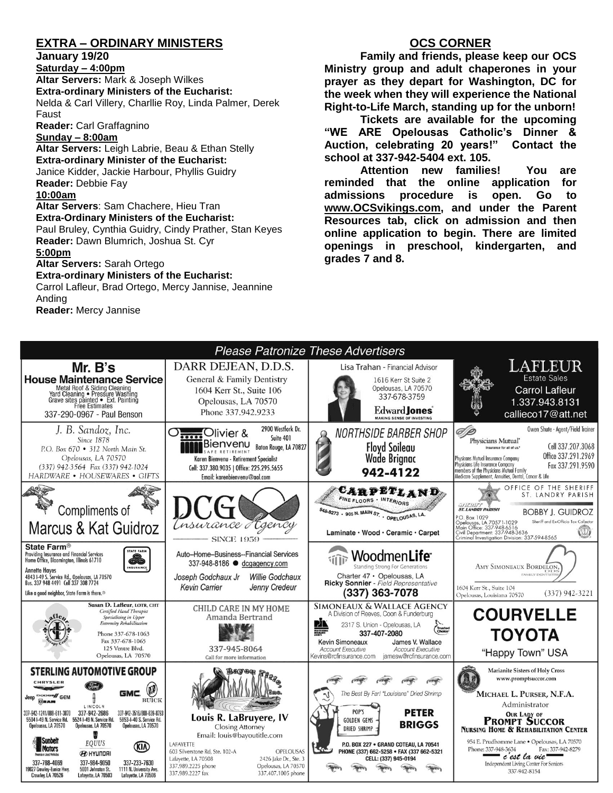# **EXTRA – ORDINARY MINISTERS**

**January 19/20**

**Saturday – 4:00pm Altar Servers:** Mark & Joseph Wilkes **Extra-ordinary Ministers of the Eucharist:**  Nelda & Carl Villery, Charllie Roy, Linda Palmer, Derek Faust

**Reader:** Carl Graffagnino

**Sunday – 8:00am**

**Altar Servers:** Leigh Labrie, Beau & Ethan Stelly **Extra-ordinary Minister of the Eucharist:** Janice Kidder, Jackie Harbour, Phyllis Guidry **Reader:** Debbie Fay **10:00am**

**Altar Servers**: Sam Chachere, Hieu Tran **Extra-Ordinary Ministers of the Eucharist:** Paul Bruley, Cynthia Guidry, Cindy Prather, Stan Keyes **Reader:** Dawn Blumrich, Joshua St. Cyr

#### **5:00pm**

**Altar Servers:** Sarah Ortego

#### **Extra-ordinary Ministers of the Eucharist:**

Carrol Lafleur, Brad Ortego, Mercy Jannise, Jeannine Anding

**Reader:** Mercy Jannise

# **OCS CORNER**

**Family and friends, please keep our OCS Ministry group and adult chaperones in your prayer as they depart for Washington, DC for the week when they will experience the National Right-to-Life March, standing up for the unborn!**

**Tickets are available for the upcoming "WE ARE Opelousas Catholic's Dinner & Auction, celebrating 20 years!" Contact the school at 337-942-5404 ext. 105.**

**Attention new families! You are reminded that the online application for admissions procedure is open. Go to [www.OCSvikings.com,](http://www.ocsvikings.com/) and under the Parent Resources tab, click on admission and then online application to begin. There are limited openings in preschool, kindergarten, and grades 7 and 8.**